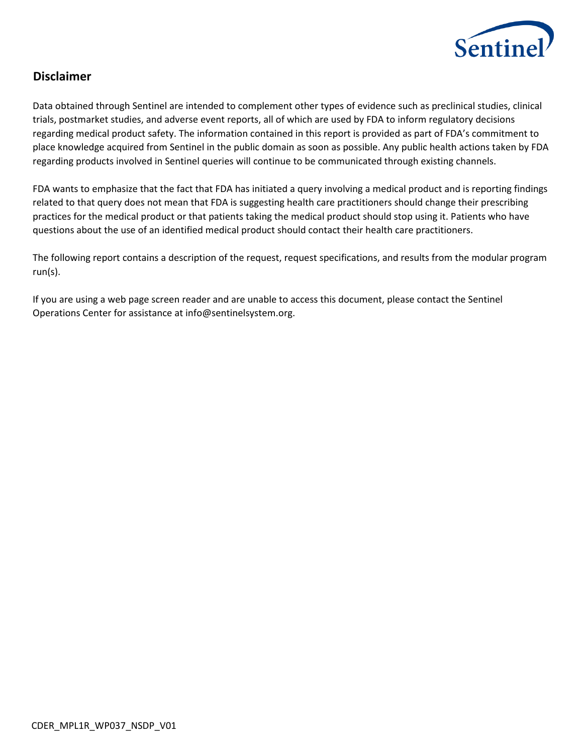

# **Disclaimer**

Data obtained through Sentinel are intended to complement other types of evidence such as preclinical studies, clinical trials, postmarket studies, and adverse event reports, all of which are used by FDA to inform regulatory decisions regarding medical product safety. The information contained in this report is provided as part of FDA's commitment to place knowledge acquired from Sentinel in the public domain as soon as possible. Any public health actions taken by FDA regarding products involved in Sentinel queries will continue to be communicated through existing channels.

FDA wants to emphasize that the fact that FDA has initiated a query involving a medical product and is reporting findings related to that query does not mean that FDA is suggesting health care practitioners should change their prescribing practices for the medical product or that patients taking the medical product should stop using it. Patients who have questions about the use of an identified medical product should contact their health care practitioners.

The following report contains a description of the request, request specifications, and results from the modular program run(s).

If you are using a web page screen reader and are unable to access this document, please contact the Sentinel Operations Center for assistance at info@sentinelsystem.org.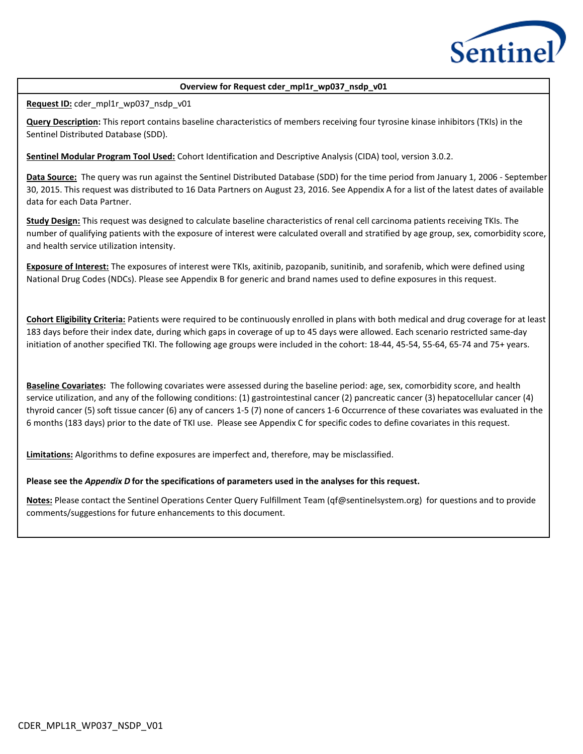

#### **Overview for Request cder\_mpl1r\_wp037\_nsdp\_v01**

**Request ID:** cder\_mpl1r\_wp037\_nsdp\_v01

**Query Description:** This report contains baseline characteristics of members receiving four tyrosine kinase inhibitors (TKIs) in the Sentinel Distributed Database (SDD).

**Sentinel Modular Program Tool Used:** Cohort Identification and Descriptive Analysis (CIDA) tool, version 3.0.2.

**Data Source:** The query was run against the Sentinel Distributed Database (SDD) for the time period from January 1, 2006 - September 30, 2015. This request was distributed to 16 Data Partners on August 23, 2016. See Appendix A for a list of the latest dates of available data for each Data Partner.

**Study Design:** This request was designed to calculate baseline characteristics of renal cell carcinoma patients receiving TKIs. The number of qualifying patients with the exposure of interest were calculated overall and stratified by age group, sex, comorbidity score, and health service utilization intensity.

**Exposure of Interest:** The exposures of interest were TKIs, axitinib, pazopanib, sunitinib, and sorafenib, which were defined using National Drug Codes (NDCs). Please see Appendix B for generic and brand names used to define exposures in this request.

**Cohort Eligibility Criteria:** Patients were required to be continuously enrolled in plans with both medical and drug coverage for at least 183 days before their index date, during which gaps in coverage of up to 45 days were allowed. Each scenario restricted same-day initiation of another specified TKI. The following age groups were included in the cohort: 18-44, 45-54, 55-64, 65-74 and 75+ years.

**Baseline Covariates:** The following covariates were assessed during the baseline period: age, sex, comorbidity score, and health service utilization, and any of the following conditions: (1) gastrointestinal cancer (2) pancreatic cancer (3) hepatocellular cancer (4) thyroid cancer (5) soft tissue cancer (6) any of cancers 1-5 (7) none of cancers 1-6 Occurrence of these covariates was evaluated in the 6 months (183 days) prior to the date of TKI use. Please see Appendix C for specific codes to define covariates in this request.

**Limitations:** Algorithms to define exposures are imperfect and, therefore, may be misclassified.

**Please see the** *Appendix D* **for the specifications of parameters used in the analyses for this request.**

**Notes:** Please contact the Sentinel Operations Center Query Fulfillment Team (qf@sentinelsystem.org) for questions and to provide comments/suggestions for future enhancements to this document.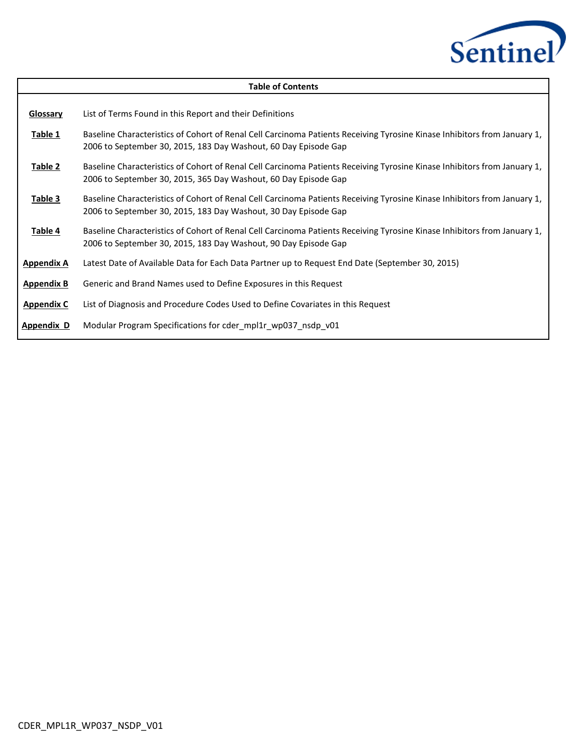

|                   | <b>Table of Contents</b>                                                                                                                                                                    |
|-------------------|---------------------------------------------------------------------------------------------------------------------------------------------------------------------------------------------|
| Glossary          | List of Terms Found in this Report and their Definitions                                                                                                                                    |
| Table 1           | Baseline Characteristics of Cohort of Renal Cell Carcinoma Patients Receiving Tyrosine Kinase Inhibitors from January 1,<br>2006 to September 30, 2015, 183 Day Washout, 60 Day Episode Gap |
| Table 2           | Baseline Characteristics of Cohort of Renal Cell Carcinoma Patients Receiving Tyrosine Kinase Inhibitors from January 1,<br>2006 to September 30, 2015, 365 Day Washout, 60 Day Episode Gap |
| Table 3           | Baseline Characteristics of Cohort of Renal Cell Carcinoma Patients Receiving Tyrosine Kinase Inhibitors from January 1,<br>2006 to September 30, 2015, 183 Day Washout, 30 Day Episode Gap |
| Table 4           | Baseline Characteristics of Cohort of Renal Cell Carcinoma Patients Receiving Tyrosine Kinase Inhibitors from January 1,<br>2006 to September 30, 2015, 183 Day Washout, 90 Day Episode Gap |
| <b>Appendix A</b> | Latest Date of Available Data for Each Data Partner up to Request End Date (September 30, 2015)                                                                                             |
| <b>Appendix B</b> | Generic and Brand Names used to Define Exposures in this Request                                                                                                                            |
| <b>Appendix C</b> | List of Diagnosis and Procedure Codes Used to Define Covariates in this Request                                                                                                             |
| Appendix D        | Modular Program Specifications for cder_mpl1r_wp037_nsdp_v01                                                                                                                                |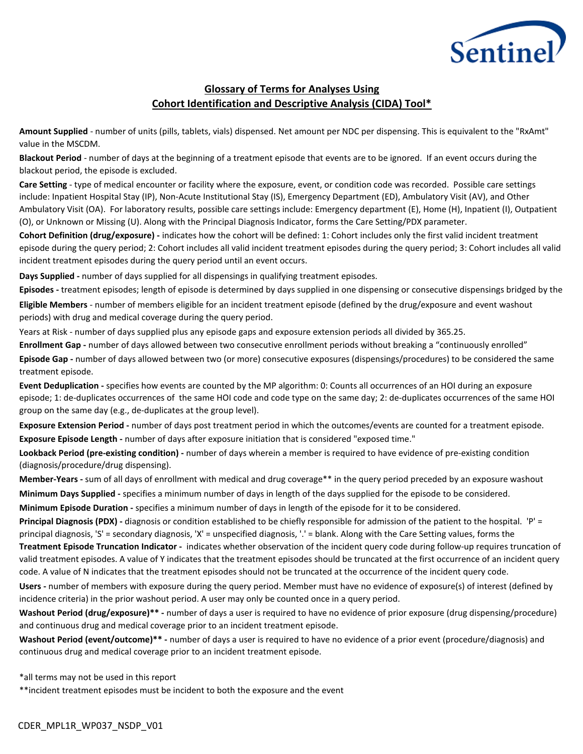

## **Glossary of Terms for Analyses Using Cohort Identification and Descriptive Analysis (CIDA) Tool\***

**Amount Supplied** - number of units (pills, tablets, vials) dispensed. Net amount per NDC per dispensing. This is equivalent to the "RxAmt" value in the MSCDM.

**Blackout Period** - number of days at the beginning of a treatment episode that events are to be ignored. If an event occurs during the blackout period, the episode is excluded.

**Care Setting** - type of medical encounter or facility where the exposure, event, or condition code was recorded. Possible care settings include: Inpatient Hospital Stay (IP), Non-Acute Institutional Stay (IS), Emergency Department (ED), Ambulatory Visit (AV), and Other Ambulatory Visit (OA). For laboratory results, possible care settings include: Emergency department (E), Home (H), Inpatient (I), Outpatient (O), or Unknown or Missing (U). Along with the Principal Diagnosis Indicator, forms the Care Setting/PDX parameter.

**Cohort Definition (drug/exposure) -** indicates how the cohort will be defined: 1: Cohort includes only the first valid incident treatment episode during the query period; 2: Cohort includes all valid incident treatment episodes during the query period; 3: Cohort includes all valid incident treatment episodes during the query period until an event occurs.

**Days Supplied -** number of days supplied for all dispensings in qualifying treatment episodes.

**Episodes -** treatment episodes; length of episode is determined by days supplied in one dispensing or consecutive dispensings bridged by the

episode gap. **Eligible Members** - number of members eligible for an incident treatment episode (defined by the drug/exposure and event washout periods) with drug and medical coverage during the query period.

Years at Risk - number of days supplied plus any episode gaps and exposure extension periods all divided by 365.25.

**Enrollment Gap -** number of days allowed between two consecutive enrollment periods without breaking a "continuously enrolled" Episode Gap - number of days allowed between two (or more) consecutive exposures (dispensings/procedures) to be considered the same treatment episode.

**Event Deduplication -** specifies how events are counted by the MP algorithm: 0: Counts all occurrences of an HOI during an exposure episode; 1: de-duplicates occurrences of the same HOI code and code type on the same day; 2: de-duplicates occurrences of the same HOI group on the same day (e.g., de-duplicates at the group level).

**Exposure Extension Period -** number of days post treatment period in which the outcomes/events are counted for a treatment episode. **Exposure Episode Length -** number of days after exposure initiation that is considered "exposed time."

**Lookback Period (pre-existing condition) -** number of days wherein a member is required to have evidence of pre-existing condition (diagnosis/procedure/drug dispensing).

**Member-Years -** sum of all days of enrollment with medical and drug coverage\*\* in the query period preceded by an exposure washout Minimum Days Supplied - specifies a minimum number of days in length of the days supplied for the episode to be considered.

**Minimum Episode Duration -** specifies a minimum number of days in length of the episode for it to be considered.

**Principal Diagnosis (PDX) -** diagnosis or condition established to be chiefly responsible for admission of the patient to the hospital. 'P' = principal diagnosis, 'S' = secondary diagnosis, 'X' = unspecified diagnosis, '.' = blank. Along with the Care Setting values, forms the Treatment Episode Truncation Indicator - indicates whether observation of the incident query code during follow-up requires truncation of valid treatment episodes. A value of Y indicates that the treatment episodes should be truncated at the first occurrence of an incident query

code. A value of N indicates that the treatment episodes should not be truncated at the occurrence of the incident query code.

**Users -** number of members with exposure during the query period. Member must have no evidence of exposure(s) of interest (defined by incidence criteria) in the prior washout period. A user may only be counted once in a query period.

**Washout Period (drug/exposure)\*\* -** number of days a user is required to have no evidence of prior exposure (drug dispensing/procedure) and continuous drug and medical coverage prior to an incident treatment episode.

**Washout Period (event/outcome)\*\* -** number of days a user is required to have no evidence of a prior event (procedure/diagnosis) and continuous drug and medical coverage prior to an incident treatment episode.

\*all terms may not be used in this report

\*\*incident treatment episodes must be incident to both the exposure and the event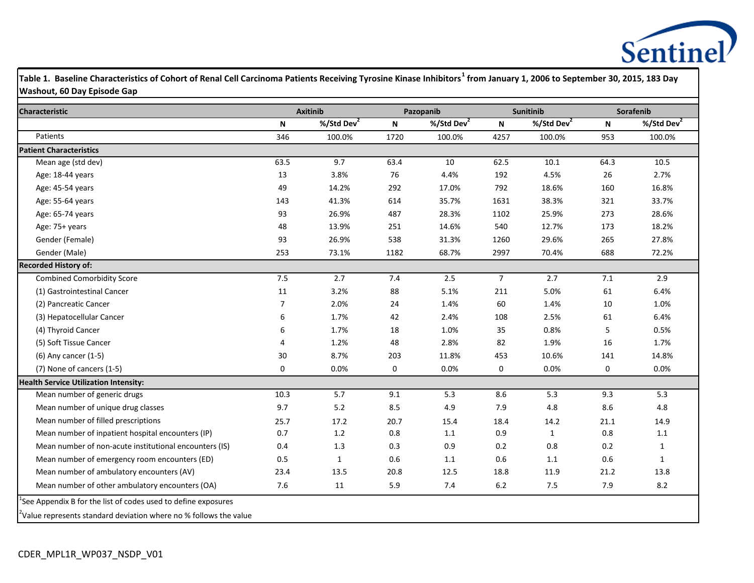

**Table 1. Baseline Characteristics of Cohort of Renal Cell Carcinoma Patients Receiving Tyrosine Kinase Inhibitors<sup>1</sup> from January 1, 2006 to September 30, 2015, 183 Day Washout, 60 Day Episode Gap** 

| <b>Characteristic</b>                                  |                | <b>Axitinib</b>        |      | Pazopanib              |                | Sunitinib              | Sorafenib |                        |  |
|--------------------------------------------------------|----------------|------------------------|------|------------------------|----------------|------------------------|-----------|------------------------|--|
|                                                        | N              | %/Std Dev <sup>2</sup> | N    | %/Std Dev <sup>2</sup> | N.             | %/Std Dev <sup>2</sup> | N         | %/Std Dev <sup>2</sup> |  |
| Patients                                               | 346            | 100.0%                 | 1720 | 100.0%                 | 4257           | 100.0%                 | 953       | 100.0%                 |  |
| <b>Patient Characteristics</b>                         |                |                        |      |                        |                |                        |           |                        |  |
| Mean age (std dev)                                     | 63.5           | 9.7                    | 63.4 | 10                     | 62.5           | 10.1                   | 64.3      | 10.5                   |  |
| Age: 18-44 years                                       | 13             | 3.8%                   | 76   | 4.4%                   | 192            | 4.5%                   | 26        | 2.7%                   |  |
| Age: 45-54 years                                       | 49             | 14.2%                  | 292  | 17.0%                  | 792            | 18.6%                  | 160       | 16.8%                  |  |
| Age: 55-64 years                                       | 143            | 41.3%                  | 614  | 35.7%                  | 1631           | 38.3%                  | 321       | 33.7%                  |  |
| Age: 65-74 years                                       | 93             | 26.9%                  | 487  | 28.3%                  | 1102           | 25.9%                  | 273       | 28.6%                  |  |
| Age: 75+ years                                         | 48             | 13.9%                  | 251  | 14.6%                  | 540            | 12.7%                  | 173       | 18.2%                  |  |
| Gender (Female)                                        | 93             | 26.9%                  | 538  | 31.3%                  | 1260           | 29.6%                  | 265       | 27.8%                  |  |
| Gender (Male)                                          | 253            | 73.1%                  | 1182 | 68.7%                  | 2997           | 70.4%                  | 688       | 72.2%                  |  |
| <b>Recorded History of:</b>                            |                |                        |      |                        |                |                        |           |                        |  |
| <b>Combined Comorbidity Score</b>                      | 7.5            | 2.7                    | 7.4  | 2.5                    | $\overline{7}$ | 2.7                    | 7.1       | 2.9                    |  |
| (1) Gastrointestinal Cancer                            | 11             | 3.2%                   | 88   | 5.1%                   | 211            | 5.0%                   | 61        | 6.4%                   |  |
| (2) Pancreatic Cancer                                  | $\overline{7}$ | 2.0%                   | 24   | 1.4%                   | 60             | 1.4%                   | 10        | 1.0%                   |  |
| (3) Hepatocellular Cancer                              | 6              | 1.7%                   | 42   | 2.4%                   | 108            | 2.5%                   | 61        | 6.4%                   |  |
| (4) Thyroid Cancer                                     | 6              | 1.7%                   | 18   | 1.0%                   | 35             | 0.8%                   | 5         | 0.5%                   |  |
| (5) Soft Tissue Cancer                                 | $\overline{4}$ | 1.2%                   | 48   | 2.8%                   | 82             | 1.9%                   | 16        | 1.7%                   |  |
| (6) Any cancer (1-5)                                   | 30             | 8.7%                   | 203  | 11.8%                  | 453            | 10.6%                  | 141       | 14.8%                  |  |
| (7) None of cancers (1-5)                              | 0              | 0.0%                   | 0    | 0.0%                   | 0              | 0.0%                   | 0         | 0.0%                   |  |
| <b>Health Service Utilization Intensity:</b>           |                |                        |      |                        |                |                        |           |                        |  |
| Mean number of generic drugs                           | 10.3           | 5.7                    | 9.1  | 5.3                    | 8.6            | 5.3                    | 9.3       | 5.3                    |  |
| Mean number of unique drug classes                     | 9.7            | $5.2$                  | 8.5  | 4.9                    | 7.9            | 4.8                    | 8.6       | 4.8                    |  |
| Mean number of filled prescriptions                    | 25.7           | 17.2                   | 20.7 | 15.4                   | 18.4           | 14.2                   | 21.1      | 14.9                   |  |
| Mean number of inpatient hospital encounters (IP)      | 0.7            | 1.2                    | 0.8  | 1.1                    | 0.9            | 1                      | 0.8       | 1.1                    |  |
| Mean number of non-acute institutional encounters (IS) | 0.4            | 1.3                    | 0.3  | 0.9                    | 0.2            | 0.8                    | 0.2       | 1                      |  |
| Mean number of emergency room encounters (ED)          | 0.5            | $\mathbf{1}$           | 0.6  | 1.1                    | 0.6            | 1.1                    | 0.6       | 1                      |  |
| Mean number of ambulatory encounters (AV)              | 23.4           | 13.5                   | 20.8 | 12.5                   | 18.8           | 11.9                   | 21.2      | 13.8                   |  |
| Mean number of other ambulatory encounters (OA)        | 7.6            | 11                     | 5.9  | 7.4                    | $6.2\,$        | 7.5                    | 7.9       | 8.2                    |  |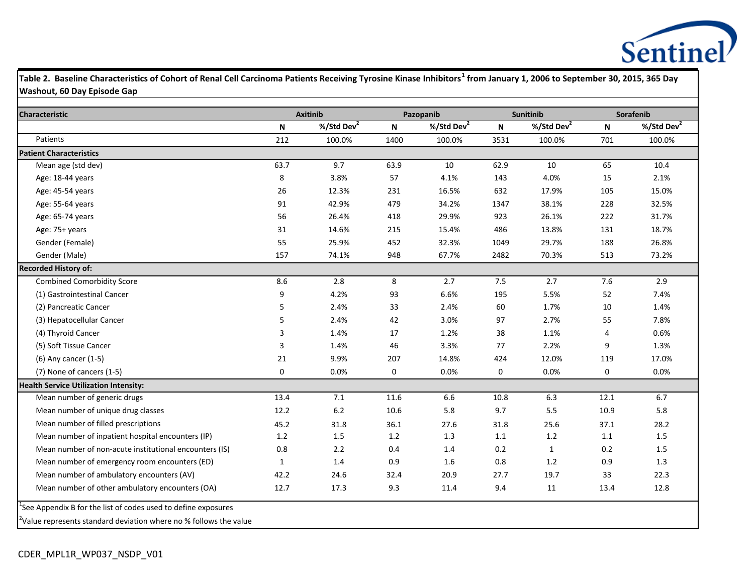

**Table 2. Baseline Characteristics of Cohort of Renal Cell Carcinoma Patients Receiving Tyrosine Kinase Inhibitors<sup>1</sup> from January 1, 2006 to September 30, 2015, 365 Day Washout, 60 Day Episode Gap** 

| <b>Characteristic</b>                                                      |              | <b>Axitinib</b>        |             | Pazopanib              |      | Sunitinib              | Sorafenib |                        |  |  |  |
|----------------------------------------------------------------------------|--------------|------------------------|-------------|------------------------|------|------------------------|-----------|------------------------|--|--|--|
|                                                                            | N            | %/Std Dev <sup>2</sup> | N           | %/Std Dev <sup>2</sup> | N.   | %/Std Dev <sup>2</sup> | N         | %/Std Dev <sup>2</sup> |  |  |  |
| Patients                                                                   | 212          | 100.0%                 | 1400        | 100.0%                 | 3531 | 100.0%                 | 701       | 100.0%                 |  |  |  |
| <b>Patient Characteristics</b>                                             |              |                        |             |                        |      |                        |           |                        |  |  |  |
| Mean age (std dev)                                                         | 63.7         | 9.7                    | 63.9        | 10                     | 62.9 | 10                     | 65        | 10.4                   |  |  |  |
| Age: 18-44 years                                                           | 8            | 3.8%                   | 57          | 4.1%                   | 143  | 4.0%                   | 15        | 2.1%                   |  |  |  |
| Age: 45-54 years                                                           | 26           | 12.3%                  | 231         | 16.5%                  | 632  | 17.9%                  | 105       | 15.0%                  |  |  |  |
| Age: 55-64 years                                                           | 91           | 42.9%                  | 479         | 34.2%                  | 1347 | 38.1%                  | 228       | 32.5%                  |  |  |  |
| Age: 65-74 years                                                           | 56           | 26.4%                  | 418         | 29.9%                  | 923  | 26.1%                  | 222       | 31.7%                  |  |  |  |
| Age: 75+ years                                                             | 31           | 14.6%                  | 215         | 15.4%                  | 486  | 13.8%                  | 131       | 18.7%                  |  |  |  |
| Gender (Female)                                                            | 55           | 25.9%                  | 452         | 32.3%                  | 1049 | 29.7%                  | 188       | 26.8%                  |  |  |  |
| Gender (Male)                                                              | 157          | 74.1%                  | 948         | 67.7%                  | 2482 | 70.3%                  | 513       | 73.2%                  |  |  |  |
| <b>Recorded History of:</b>                                                |              |                        |             |                        |      |                        |           |                        |  |  |  |
| <b>Combined Comorbidity Score</b>                                          | 8.6          | 2.8                    | 8           | 2.7                    | 7.5  | 2.7                    | 7.6       | 2.9                    |  |  |  |
| (1) Gastrointestinal Cancer                                                | 9            | 4.2%                   | 93          | 6.6%                   | 195  | 5.5%                   | 52        | 7.4%                   |  |  |  |
| (2) Pancreatic Cancer                                                      | 5            | 2.4%                   | 33          | 2.4%                   | 60   | 1.7%                   | 10        | 1.4%                   |  |  |  |
| (3) Hepatocellular Cancer                                                  | 5            | 2.4%                   | 42          | 3.0%                   | 97   | 2.7%                   | 55        | 7.8%                   |  |  |  |
| (4) Thyroid Cancer                                                         | 3            | 1.4%                   | 17          | 1.2%                   | 38   | 1.1%                   | 4         | 0.6%                   |  |  |  |
| (5) Soft Tissue Cancer                                                     | 3            | 1.4%                   | 46          | 3.3%                   | 77   | 2.2%                   | 9         | 1.3%                   |  |  |  |
| (6) Any cancer (1-5)                                                       | 21           | 9.9%                   | 207         | 14.8%                  | 424  | 12.0%                  | 119       | 17.0%                  |  |  |  |
| (7) None of cancers (1-5)                                                  | $\mathbf 0$  | 0.0%                   | $\mathbf 0$ | 0.0%                   | 0    | 0.0%                   | 0         | 0.0%                   |  |  |  |
| <b>Health Service Utilization Intensity:</b>                               |              |                        |             |                        |      |                        |           |                        |  |  |  |
| Mean number of generic drugs                                               | 13.4         | 7.1                    | 11.6        | 6.6                    | 10.8 | 6.3                    | 12.1      | 6.7                    |  |  |  |
| Mean number of unique drug classes                                         | 12.2         | $6.2\,$                | 10.6        | 5.8                    | 9.7  | 5.5                    | 10.9      | 5.8                    |  |  |  |
| Mean number of filled prescriptions                                        | 45.2         | 31.8                   | 36.1        | 27.6                   | 31.8 | 25.6                   | 37.1      | 28.2                   |  |  |  |
| Mean number of inpatient hospital encounters (IP)                          | 1.2          | 1.5                    | 1.2         | 1.3                    | 1.1  | 1.2                    | 1.1       | 1.5                    |  |  |  |
| Mean number of non-acute institutional encounters (IS)                     | $0.8\,$      | 2.2                    | 0.4         | 1.4                    | 0.2  | $\mathbf{1}$           | 0.2       | $1.5\,$                |  |  |  |
| Mean number of emergency room encounters (ED)                              | $\mathbf{1}$ | 1.4                    | 0.9         | 1.6                    | 0.8  | 1.2                    | 0.9       | 1.3                    |  |  |  |
| Mean number of ambulatory encounters (AV)                                  | 42.2         | 24.6                   | 32.4        | 20.9                   | 27.7 | 19.7                   | 33        | 22.3                   |  |  |  |
| Mean number of other ambulatory encounters (OA)                            | 12.7         | 17.3                   | 9.3         | 11.4                   | 9.4  | 11                     | 13.4      | 12.8                   |  |  |  |
| <sup>1</sup> See Appendix B for the list of codes used to define exposures |              |                        |             |                        |      |                        |           |                        |  |  |  |
| Value represents standard deviation where no % follows the value           |              |                        |             |                        |      |                        |           |                        |  |  |  |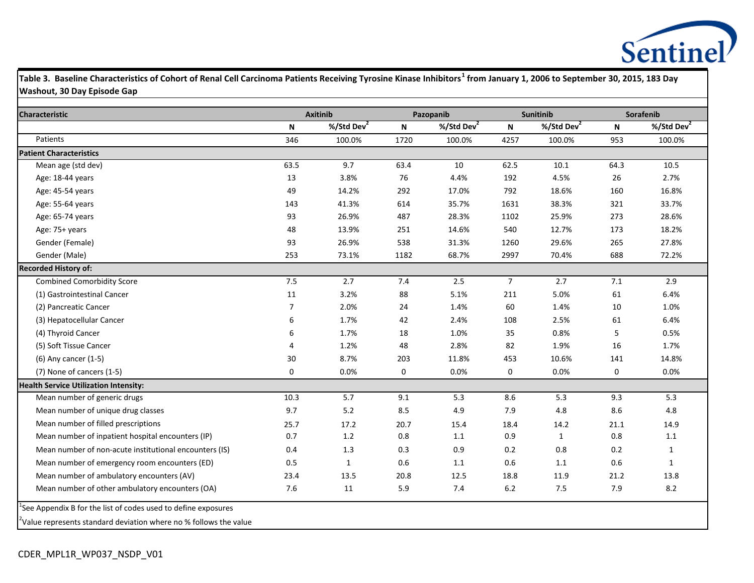

**Table 3. Baseline Characteristics of Cohort of Renal Cell Carcinoma Patients Receiving Tyrosine Kinase Inhibitors<sup>1</sup> from January 1, 2006 to September 30, 2015, 183 Day Washout, 30 Day Episode Gap** 

| <b>Characteristic</b>                                                                                                                                       |                | <b>Axitinib</b>        |         | Pazopanib              |                | <b>Sunitinib</b>       | Sorafenib |                        |  |
|-------------------------------------------------------------------------------------------------------------------------------------------------------------|----------------|------------------------|---------|------------------------|----------------|------------------------|-----------|------------------------|--|
|                                                                                                                                                             | N              | %/Std Dev <sup>2</sup> | N       | %/Std Dev <sup>2</sup> | N              | %/Std Dev <sup>2</sup> | N         | %/Std Dev <sup>2</sup> |  |
| Patients                                                                                                                                                    | 346            | 100.0%                 | 1720    | 100.0%                 | 4257           | 100.0%                 | 953       | 100.0%                 |  |
| <b>Patient Characteristics</b>                                                                                                                              |                |                        |         |                        |                |                        |           |                        |  |
| Mean age (std dev)                                                                                                                                          | 63.5           | 9.7                    | 63.4    | 10                     | 62.5           | 10.1                   | 64.3      | 10.5                   |  |
| Age: 18-44 years                                                                                                                                            | 13             | 3.8%                   | 76      | 4.4%                   | 192            | 4.5%                   | 26        | 2.7%                   |  |
| Age: 45-54 years                                                                                                                                            | 49             | 14.2%                  | 292     | 17.0%                  | 792            | 18.6%                  | 160       | 16.8%                  |  |
| Age: 55-64 years                                                                                                                                            | 143            | 41.3%                  | 614     | 35.7%                  | 1631           | 38.3%                  | 321       | 33.7%                  |  |
| Age: 65-74 years                                                                                                                                            | 93             | 26.9%                  | 487     | 28.3%                  | 1102           | 25.9%                  | 273       | 28.6%                  |  |
| Age: 75+ years                                                                                                                                              | 48             | 13.9%                  | 251     | 14.6%                  | 540            | 12.7%                  | 173       | 18.2%                  |  |
| Gender (Female)                                                                                                                                             | 93             | 26.9%                  | 538     | 31.3%                  | 1260           | 29.6%                  | 265       | 27.8%                  |  |
| Gender (Male)                                                                                                                                               | 253            | 73.1%                  | 1182    | 68.7%                  | 2997           | 70.4%                  | 688       | 72.2%                  |  |
| <b>Recorded History of:</b>                                                                                                                                 |                |                        |         |                        |                |                        |           |                        |  |
| <b>Combined Comorbidity Score</b>                                                                                                                           | 7.5            | 2.7                    | 7.4     | 2.5                    | $\overline{7}$ | 2.7                    | 7.1       | 2.9                    |  |
| (1) Gastrointestinal Cancer                                                                                                                                 | 11             | 3.2%                   | 88      | 5.1%                   | 211            | 5.0%                   | 61        | 6.4%                   |  |
| (2) Pancreatic Cancer                                                                                                                                       | $\overline{7}$ | 2.0%                   | 24      | 1.4%                   | 60             | 1.4%                   | 10        | 1.0%                   |  |
| (3) Hepatocellular Cancer                                                                                                                                   | 6              | 1.7%                   | 42      | 2.4%                   | 108            | 2.5%                   | 61        | 6.4%                   |  |
| (4) Thyroid Cancer                                                                                                                                          | 6              | 1.7%                   | 18      | 1.0%                   | 35             | 0.8%                   | 5         | 0.5%                   |  |
| (5) Soft Tissue Cancer                                                                                                                                      | 4              | 1.2%                   | 48      | 2.8%                   | 82             | 1.9%                   | 16        | 1.7%                   |  |
| (6) Any cancer (1-5)                                                                                                                                        | 30             | 8.7%                   | 203     | 11.8%                  | 453            | 10.6%                  | 141       | 14.8%                  |  |
| (7) None of cancers (1-5)                                                                                                                                   | 0              | 0.0%                   | 0       | 0.0%                   | 0              | 0.0%                   | 0         | 0.0%                   |  |
| <b>Health Service Utilization Intensity:</b>                                                                                                                |                |                        |         |                        |                |                        |           |                        |  |
| Mean number of generic drugs                                                                                                                                | 10.3           | 5.7                    | 9.1     | 5.3                    | 8.6            | 5.3                    | 9.3       | 5.3                    |  |
| Mean number of unique drug classes                                                                                                                          | 9.7            | $5.2\,$                | 8.5     | 4.9                    | 7.9            | 4.8                    | 8.6       | 4.8                    |  |
| Mean number of filled prescriptions                                                                                                                         | 25.7           | 17.2                   | 20.7    | 15.4                   | 18.4           | 14.2                   | 21.1      | 14.9                   |  |
| Mean number of inpatient hospital encounters (IP)                                                                                                           | 0.7            | $1.2$                  | $0.8\,$ | 1.1                    | 0.9            | $\mathbf{1}$           | 0.8       | 1.1                    |  |
| Mean number of non-acute institutional encounters (IS)                                                                                                      | 0.4            | $1.3\,$                | 0.3     | 0.9                    | 0.2            | 0.8                    | 0.2       | 1                      |  |
| Mean number of emergency room encounters (ED)                                                                                                               | 0.5            | $\mathbf{1}$           | 0.6     | 1.1                    | 0.6            | 1.1                    | 0.6       | 1                      |  |
| Mean number of ambulatory encounters (AV)                                                                                                                   | 23.4           | 13.5                   | 20.8    | 12.5                   | 18.8           | 11.9                   | 21.2      | 13.8                   |  |
| Mean number of other ambulatory encounters (OA)                                                                                                             | 7.6            | 11                     | 5.9     | 7.4                    | $6.2\,$        | 7.5                    | 7.9       | 8.2                    |  |
| <sup>1</sup> See Appendix B for the list of codes used to define exposures<br><sup>2</sup> Value represents standard deviation where no % follows the value |                |                        |         |                        |                |                        |           |                        |  |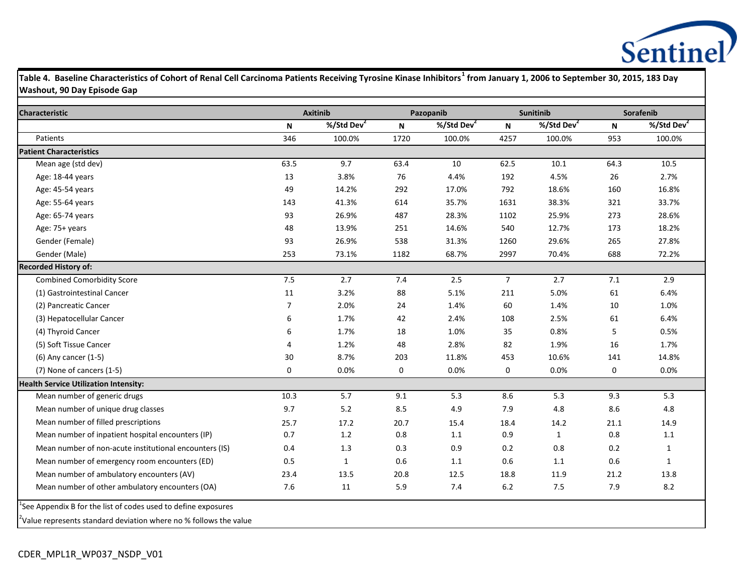

**Table 4. Baseline Characteristics of Cohort of Renal Cell Carcinoma Patients Receiving Tyrosine Kinase Inhibitors<sup>1</sup> from January 1, 2006 to September 30, 2015, 183 Day Washout, 90 Day Episode Gap** 

| <b>Characteristic</b>                                                                                                             |                | <b>Axitinib</b>        |      | Pazopanib              |                | <b>Sunitinib</b>       |             | Sorafenib              |
|-----------------------------------------------------------------------------------------------------------------------------------|----------------|------------------------|------|------------------------|----------------|------------------------|-------------|------------------------|
|                                                                                                                                   | N              | %/Std Dev <sup>2</sup> | N    | %/Std Dev <sup>2</sup> | N              | %/Std Dev <sup>2</sup> | N           | %/Std Dev <sup>2</sup> |
| Patients                                                                                                                          | 346            | 100.0%                 | 1720 | 100.0%                 | 4257           | 100.0%                 | 953         | 100.0%                 |
| <b>Patient Characteristics</b>                                                                                                    |                |                        |      |                        |                |                        |             |                        |
| Mean age (std dev)                                                                                                                | 63.5           | 9.7                    | 63.4 | 10                     | 62.5           | 10.1                   | 64.3        | 10.5                   |
| Age: 18-44 years                                                                                                                  | 13             | 3.8%                   | 76   | 4.4%                   | 192            | 4.5%                   | 26          | 2.7%                   |
| Age: 45-54 years                                                                                                                  | 49             | 14.2%                  | 292  | 17.0%                  | 792            | 18.6%                  | 160         | 16.8%                  |
| Age: 55-64 years                                                                                                                  | 143            | 41.3%                  | 614  | 35.7%                  | 1631           | 38.3%                  | 321         | 33.7%                  |
| Age: 65-74 years                                                                                                                  | 93             | 26.9%                  | 487  | 28.3%                  | 1102           | 25.9%                  | 273         | 28.6%                  |
| Age: 75+ years                                                                                                                    | 48             | 13.9%                  | 251  | 14.6%                  | 540            | 12.7%                  | 173         | 18.2%                  |
| Gender (Female)                                                                                                                   | 93             | 26.9%                  | 538  | 31.3%                  | 1260           | 29.6%                  | 265         | 27.8%                  |
| Gender (Male)                                                                                                                     | 253            | 73.1%                  | 1182 | 68.7%                  | 2997           | 70.4%                  | 688         | 72.2%                  |
| <b>Recorded History of:</b>                                                                                                       |                |                        |      |                        |                |                        |             |                        |
| <b>Combined Comorbidity Score</b>                                                                                                 | 7.5            | 2.7                    | 7.4  | 2.5                    | $\overline{7}$ | 2.7                    | 7.1         | 2.9                    |
| (1) Gastrointestinal Cancer                                                                                                       | 11             | 3.2%                   | 88   | 5.1%                   | 211            | 5.0%                   | 61          | 6.4%                   |
| (2) Pancreatic Cancer                                                                                                             | $\overline{7}$ | 2.0%                   | 24   | 1.4%                   | 60             | 1.4%                   | 10          | 1.0%                   |
| (3) Hepatocellular Cancer                                                                                                         | 6              | 1.7%                   | 42   | 2.4%                   | 108            | 2.5%                   | 61          | 6.4%                   |
| (4) Thyroid Cancer                                                                                                                | 6              | 1.7%                   | 18   | 1.0%                   | 35             | 0.8%                   | 5           | 0.5%                   |
| (5) Soft Tissue Cancer                                                                                                            | 4              | 1.2%                   | 48   | 2.8%                   | 82             | 1.9%                   | 16          | 1.7%                   |
| (6) Any cancer (1-5)                                                                                                              | 30             | 8.7%                   | 203  | 11.8%                  | 453            | 10.6%                  | 141         | 14.8%                  |
| (7) None of cancers (1-5)                                                                                                         | $\mathbf 0$    | 0.0%                   | 0    | 0.0%                   | 0              | 0.0%                   | $\mathbf 0$ | 0.0%                   |
| <b>Health Service Utilization Intensity:</b>                                                                                      |                |                        |      |                        |                |                        |             |                        |
| Mean number of generic drugs                                                                                                      | 10.3           | 5.7                    | 9.1  | 5.3                    | 8.6            | 5.3                    | 9.3         | 5.3                    |
| Mean number of unique drug classes                                                                                                | 9.7            | 5.2                    | 8.5  | 4.9                    | 7.9            | 4.8                    | 8.6         | 4.8                    |
| Mean number of filled prescriptions                                                                                               | 25.7           | 17.2                   | 20.7 | 15.4                   | 18.4           | 14.2                   | 21.1        | 14.9                   |
| Mean number of inpatient hospital encounters (IP)                                                                                 | 0.7            | 1.2                    | 0.8  | 1.1                    | 0.9            | $\mathbf{1}$           | 0.8         | 1.1                    |
| Mean number of non-acute institutional encounters (IS)                                                                            | 0.4            | 1.3                    | 0.3  | 0.9                    | 0.2            | 0.8                    | 0.2         | $\mathbf{1}$           |
| Mean number of emergency room encounters (ED)                                                                                     | 0.5            | 1                      | 0.6  | 1.1                    | 0.6            | 1.1                    | 0.6         | $\mathbf{1}$           |
| Mean number of ambulatory encounters (AV)                                                                                         | 23.4           | 13.5                   | 20.8 | 12.5                   | 18.8           | 11.9                   | 21.2        | 13.8                   |
| Mean number of other ambulatory encounters (OA)                                                                                   | 7.6            | 11                     | 5.9  | 7.4                    | $6.2\,$        | 7.5                    | 7.9         | 8.2                    |
| See Appendix B for the list of codes used to define exposures<br>Value represents standard deviation where no % follows the value |                |                        |      |                        |                |                        |             |                        |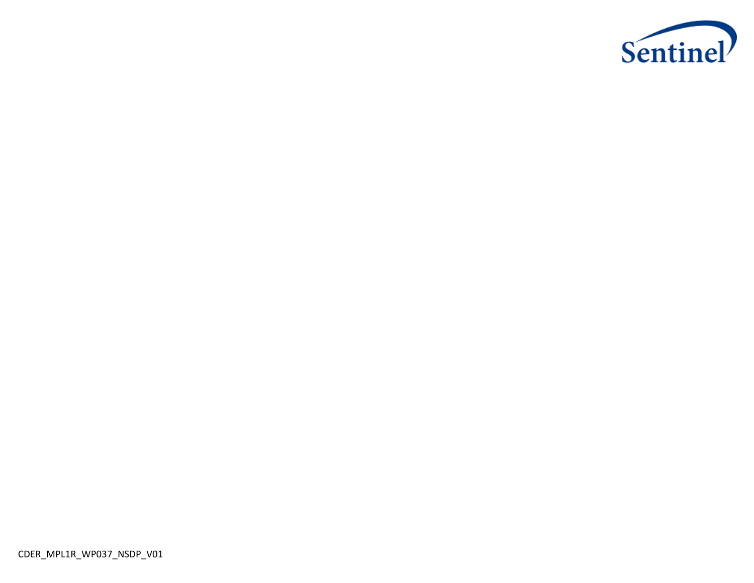CDER\_MPL1R\_WP037\_NSDP\_V01

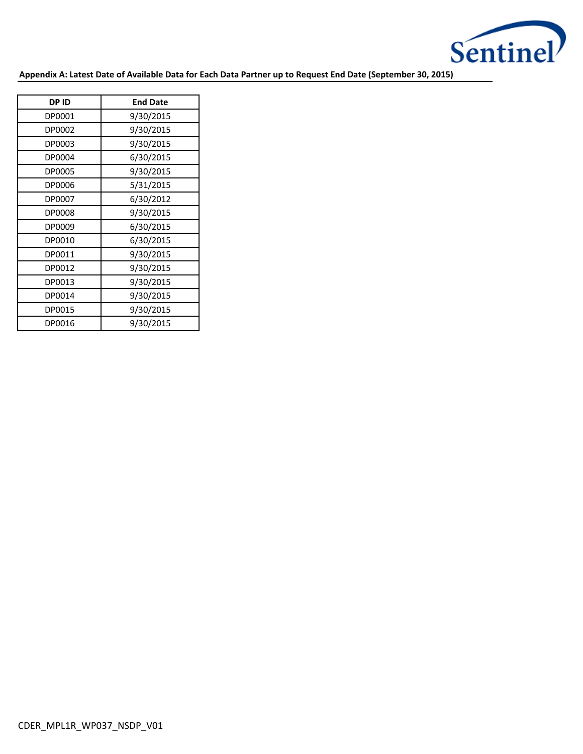

**Appendix A: Latest Date of Available Data for Each Data Partner up to Request End Date (September 30, 2015)**

| <b>DPID</b> | <b>End Date</b> |
|-------------|-----------------|
| DP0001      | 9/30/2015       |
| DP0002      | 9/30/2015       |
| DP0003      | 9/30/2015       |
| DP0004      | 6/30/2015       |
| DP0005      | 9/30/2015       |
| DP0006      | 5/31/2015       |
| DP0007      | 6/30/2012       |
| DP0008      | 9/30/2015       |
| DP0009      | 6/30/2015       |
| DP0010      | 6/30/2015       |
| DP0011      | 9/30/2015       |
| DP0012      | 9/30/2015       |
| DP0013      | 9/30/2015       |
| DP0014      | 9/30/2015       |
| DP0015      | 9/30/2015       |
| DP0016      | 9/30/2015       |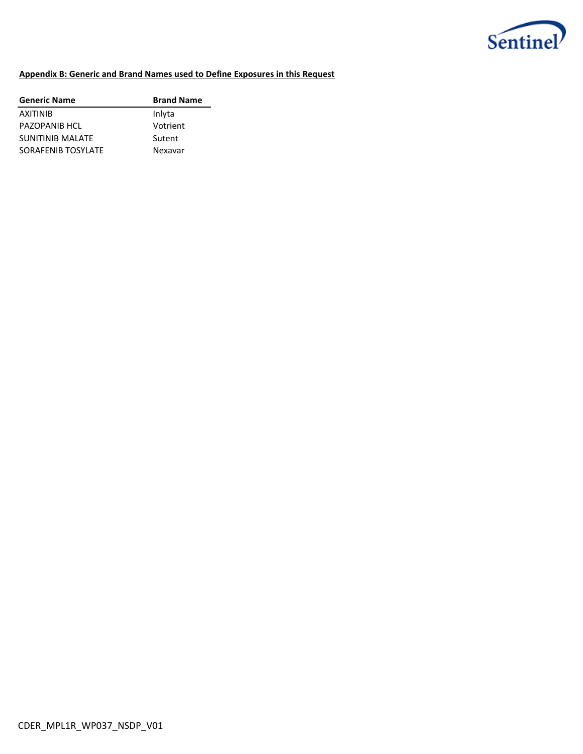

### **Appendix B: Generic and Brand Names used to Define Exposures in this Request**

| <b>Generic Name</b> | <b>Brand Name</b> |
|---------------------|-------------------|
| <b>AXITINIB</b>     | Inlyta            |
| PAZOPANIB HCL       | Votrient          |
| SUNITINIB MALATE    | Sutent            |
| SORAFENIB TOSYLATE  | Nexavar           |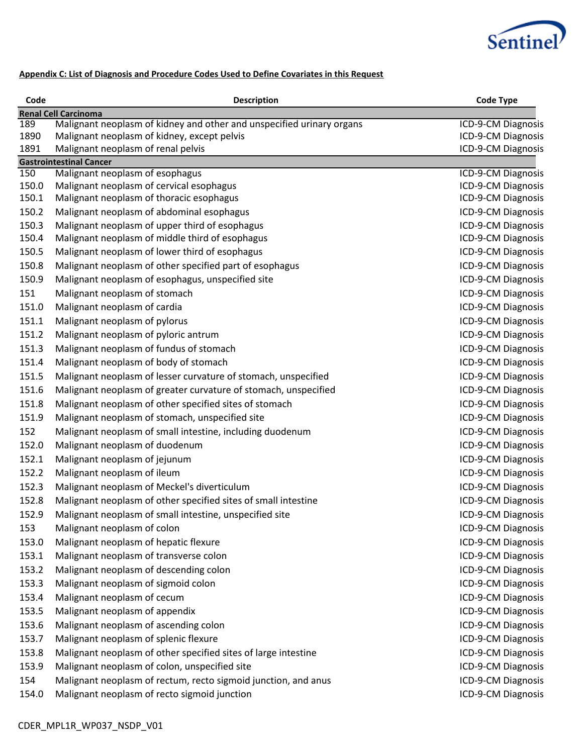

### **Appendix C: List of Diagnosis and Procedure Codes Used to Define Covariates in this Request**

| Code         | <b>Description</b>                                                                | <b>Code Type</b>                         |
|--------------|-----------------------------------------------------------------------------------|------------------------------------------|
|              | <b>Renal Cell Carcinoma</b>                                                       |                                          |
| 189          | Malignant neoplasm of kidney and other and unspecified urinary organs             | ICD-9-CM Diagnosis                       |
| 1890<br>1891 | Malignant neoplasm of kidney, except pelvis<br>Malignant neoplasm of renal pelvis | ICD-9-CM Diagnosis<br>ICD-9-CM Diagnosis |
|              | <b>Gastrointestinal Cancer</b>                                                    |                                          |
| 150          | Malignant neoplasm of esophagus                                                   | ICD-9-CM Diagnosis                       |
| 150.0        | Malignant neoplasm of cervical esophagus                                          | ICD-9-CM Diagnosis                       |
| 150.1        | Malignant neoplasm of thoracic esophagus                                          | ICD-9-CM Diagnosis                       |
| 150.2        | Malignant neoplasm of abdominal esophagus                                         | ICD-9-CM Diagnosis                       |
| 150.3        | Malignant neoplasm of upper third of esophagus                                    | ICD-9-CM Diagnosis                       |
| 150.4        | Malignant neoplasm of middle third of esophagus                                   | ICD-9-CM Diagnosis                       |
| 150.5        | Malignant neoplasm of lower third of esophagus                                    | ICD-9-CM Diagnosis                       |
| 150.8        | Malignant neoplasm of other specified part of esophagus                           | ICD-9-CM Diagnosis                       |
| 150.9        | Malignant neoplasm of esophagus, unspecified site                                 | ICD-9-CM Diagnosis                       |
| 151          | Malignant neoplasm of stomach                                                     | ICD-9-CM Diagnosis                       |
| 151.0        | Malignant neoplasm of cardia                                                      | ICD-9-CM Diagnosis                       |
| 151.1        | Malignant neoplasm of pylorus                                                     | ICD-9-CM Diagnosis                       |
| 151.2        | Malignant neoplasm of pyloric antrum                                              | ICD-9-CM Diagnosis                       |
| 151.3        | Malignant neoplasm of fundus of stomach                                           | ICD-9-CM Diagnosis                       |
| 151.4        | Malignant neoplasm of body of stomach                                             | ICD-9-CM Diagnosis                       |
| 151.5        | Malignant neoplasm of lesser curvature of stomach, unspecified                    | ICD-9-CM Diagnosis                       |
| 151.6        | Malignant neoplasm of greater curvature of stomach, unspecified                   | ICD-9-CM Diagnosis                       |
| 151.8        | Malignant neoplasm of other specified sites of stomach                            | ICD-9-CM Diagnosis                       |
| 151.9        | Malignant neoplasm of stomach, unspecified site                                   | ICD-9-CM Diagnosis                       |
| 152          | Malignant neoplasm of small intestine, including duodenum                         | ICD-9-CM Diagnosis                       |
| 152.0        | Malignant neoplasm of duodenum                                                    | ICD-9-CM Diagnosis                       |
| 152.1        | Malignant neoplasm of jejunum                                                     | ICD-9-CM Diagnosis                       |
| 152.2        | Malignant neoplasm of ileum                                                       | ICD-9-CM Diagnosis                       |
| 152.3        | Malignant neoplasm of Meckel's diverticulum                                       | ICD-9-CM Diagnosis                       |
| 152.8        | Malignant neoplasm of other specified sites of small intestine                    | ICD-9-CM Diagnosis                       |
| 152.9        | Malignant neoplasm of small intestine, unspecified site                           | ICD-9-CM Diagnosis                       |
| 153          | Malignant neoplasm of colon                                                       | ICD-9-CM Diagnosis                       |
| 153.0        | Malignant neoplasm of hepatic flexure                                             | ICD-9-CM Diagnosis                       |
| 153.1        | Malignant neoplasm of transverse colon                                            | ICD-9-CM Diagnosis                       |
| 153.2        | Malignant neoplasm of descending colon                                            | ICD-9-CM Diagnosis                       |
| 153.3        | Malignant neoplasm of sigmoid colon                                               | ICD-9-CM Diagnosis                       |
| 153.4        | Malignant neoplasm of cecum                                                       | ICD-9-CM Diagnosis                       |
| 153.5        | Malignant neoplasm of appendix                                                    | ICD-9-CM Diagnosis                       |
| 153.6        | Malignant neoplasm of ascending colon                                             | ICD-9-CM Diagnosis                       |
| 153.7        | Malignant neoplasm of splenic flexure                                             | ICD-9-CM Diagnosis                       |
| 153.8        | Malignant neoplasm of other specified sites of large intestine                    | ICD-9-CM Diagnosis                       |
| 153.9        | Malignant neoplasm of colon, unspecified site                                     | ICD-9-CM Diagnosis                       |
| 154          | Malignant neoplasm of rectum, recto sigmoid junction, and anus                    | ICD-9-CM Diagnosis                       |
| 154.0        | Malignant neoplasm of recto sigmoid junction                                      | ICD-9-CM Diagnosis                       |
|              |                                                                                   |                                          |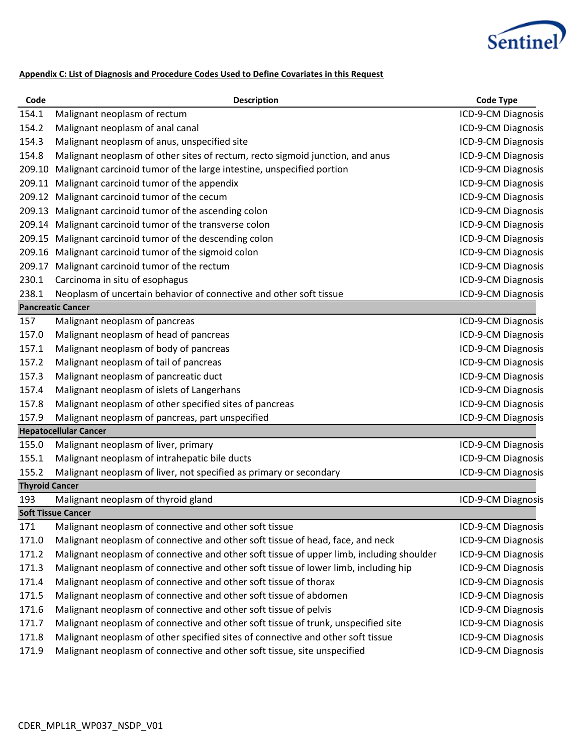

### **Appendix C: List of Diagnosis and Procedure Codes Used to Define Covariates in this Request**

| Code                  | <b>Description</b>                                                                       | <b>Code Type</b>   |
|-----------------------|------------------------------------------------------------------------------------------|--------------------|
| 154.1                 | Malignant neoplasm of rectum                                                             | ICD-9-CM Diagnosis |
| 154.2                 | Malignant neoplasm of anal canal                                                         | ICD-9-CM Diagnosis |
| 154.3                 | Malignant neoplasm of anus, unspecified site                                             | ICD-9-CM Diagnosis |
| 154.8                 | Malignant neoplasm of other sites of rectum, recto sigmoid junction, and anus            | ICD-9-CM Diagnosis |
| 209.10                | Malignant carcinoid tumor of the large intestine, unspecified portion                    | ICD-9-CM Diagnosis |
| 209.11                | Malignant carcinoid tumor of the appendix                                                | ICD-9-CM Diagnosis |
|                       | 209.12 Malignant carcinoid tumor of the cecum                                            | ICD-9-CM Diagnosis |
| 209.13                | Malignant carcinoid tumor of the ascending colon                                         | ICD-9-CM Diagnosis |
|                       | 209.14 Malignant carcinoid tumor of the transverse colon                                 | ICD-9-CM Diagnosis |
|                       | 209.15 Malignant carcinoid tumor of the descending colon                                 | ICD-9-CM Diagnosis |
|                       | 209.16 Malignant carcinoid tumor of the sigmoid colon                                    | ICD-9-CM Diagnosis |
| 209.17                | Malignant carcinoid tumor of the rectum                                                  | ICD-9-CM Diagnosis |
| 230.1                 | Carcinoma in situ of esophagus                                                           | ICD-9-CM Diagnosis |
| 238.1                 | Neoplasm of uncertain behavior of connective and other soft tissue                       | ICD-9-CM Diagnosis |
|                       | <b>Pancreatic Cancer</b>                                                                 |                    |
| 157                   | Malignant neoplasm of pancreas                                                           | ICD-9-CM Diagnosis |
| 157.0                 | Malignant neoplasm of head of pancreas                                                   | ICD-9-CM Diagnosis |
| 157.1                 | Malignant neoplasm of body of pancreas                                                   | ICD-9-CM Diagnosis |
| 157.2                 | Malignant neoplasm of tail of pancreas                                                   | ICD-9-CM Diagnosis |
| 157.3                 | Malignant neoplasm of pancreatic duct                                                    | ICD-9-CM Diagnosis |
| 157.4                 | Malignant neoplasm of islets of Langerhans                                               | ICD-9-CM Diagnosis |
| 157.8                 | Malignant neoplasm of other specified sites of pancreas                                  | ICD-9-CM Diagnosis |
| 157.9                 | Malignant neoplasm of pancreas, part unspecified                                         | ICD-9-CM Diagnosis |
|                       | <b>Hepatocellular Cancer</b>                                                             |                    |
| 155.0                 | Malignant neoplasm of liver, primary                                                     | ICD-9-CM Diagnosis |
| 155.1                 | Malignant neoplasm of intrahepatic bile ducts                                            | ICD-9-CM Diagnosis |
| 155.2                 | Malignant neoplasm of liver, not specified as primary or secondary                       | ICD-9-CM Diagnosis |
| <b>Thyroid Cancer</b> |                                                                                          |                    |
| 193                   | Malignant neoplasm of thyroid gland                                                      | ICD-9-CM Diagnosis |
|                       | <b>Soft Tissue Cancer</b>                                                                |                    |
| 171                   | Malignant neoplasm of connective and other soft tissue                                   | ICD-9-CM Diagnosis |
| 171.0                 | Malignant neoplasm of connective and other soft tissue of head, face, and neck           | ICD-9-CM Diagnosis |
| 171.2                 | Malignant neoplasm of connective and other soft tissue of upper limb, including shoulder | ICD-9-CM Diagnosis |
| 171.3                 | Malignant neoplasm of connective and other soft tissue of lower limb, including hip      | ICD-9-CM Diagnosis |
| 171.4                 | Malignant neoplasm of connective and other soft tissue of thorax                         | ICD-9-CM Diagnosis |
| 171.5                 | Malignant neoplasm of connective and other soft tissue of abdomen                        | ICD-9-CM Diagnosis |
| 171.6                 | Malignant neoplasm of connective and other soft tissue of pelvis                         | ICD-9-CM Diagnosis |
| 171.7                 | Malignant neoplasm of connective and other soft tissue of trunk, unspecified site        | ICD-9-CM Diagnosis |
| 171.8                 | Malignant neoplasm of other specified sites of connective and other soft tissue          | ICD-9-CM Diagnosis |
| 171.9                 | Malignant neoplasm of connective and other soft tissue, site unspecified                 | ICD-9-CM Diagnosis |